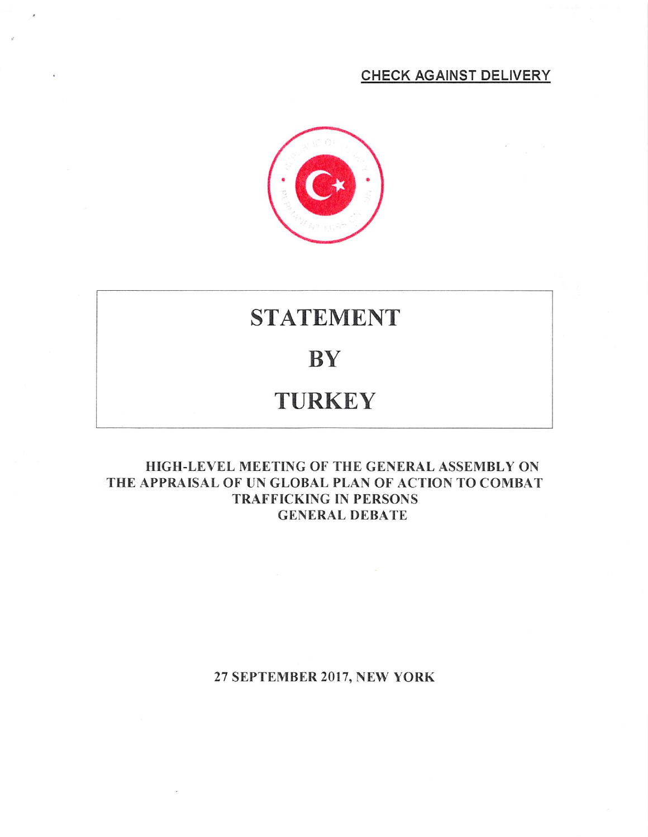### CHECK AGAINST DELIVERY



# STATEMENT

### **BY**

## **TURKEY**

#### HIGH-LEVEL MEETING OF THE GENERAL ASSEMBLY ON THE APPRAISAL OF UN GLOBAL PLAN OF ACTION TO COMBAT TRAFFICKING IN PERSONS GENERAL DEBATE

#### 27 SEPTEMBER 2017, NEW YORK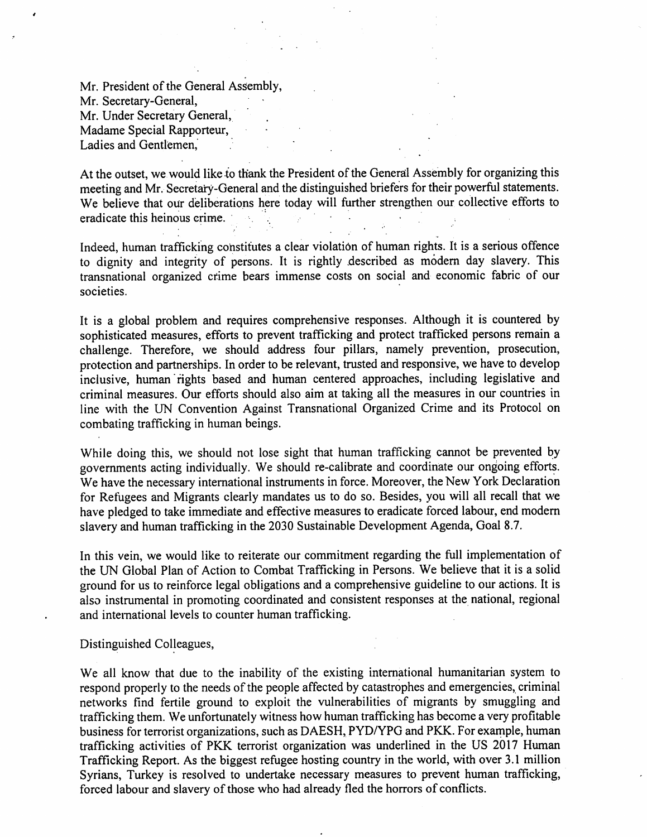Mr. President of the General Assembly, Mr. Secretary-General, Mr. Under Secretary General, Madame Special Rapporteur, Ladies and Gentlemen,

At the outset, we would like to thank the President of the General Assembly for organizing this meeting and Mr. Secretary-General and the distinguished briefers for their powerful statements. We believe that our deliberations here today will further strengthen our collective efforts to eradicate this heinous crime.  $\sim 10^{11}$ 

Indeed, human trafficking constitutes a clear violation of human rights. It is a serious offence to dignity and integrity of persons. It is rightly described as modern day slavery. This transnational organized crime bears immense costs on social and economic fabric of our societies.

It is a global problem and requires comprehensive responses. Although it is countered by sophisticated measures, efforts to prevent trafficking and protect trafficked persons remain a challenge. Therefore, we should address four pillars, namely prevention, prosecution, protection and partnerships. In order to be relevant, trusted and responsive, we have to develop inclusive, human fights based and human centered approaches, including legislative and criminal measures. Our efforts should also aim at taking all the measures in our countries in line with the UN Convention Against Transnational Organized Crime and its Protocol on combating trafficking in human beings.

While doing this, we should not lose sight that human trafficking cannot be prevented by governments acting individually. We should re-calibrate and coordinate our ongoing efforts. We have the necessary intemational instruments in force. Moreover, the New York Declaration for Refugees and Migrants clearly mandates us to do so. Besides, you will all recall that we have pledged to take immediate and effective measures to eradicate forced labour, end modern slavery and human trafficking in the 2030 Sustainable Development Agenda, Goal 8.7.

In this vein, we would like to reiterate our commitment regarding the full implementation of the UN Global Plan of Action to Combat Trafficking in Persons. We believe that it is a solid ground for us to reinforce legal obligations and a comprehensive guideline to our actions. It is also instrumental in promoting coordinated and consistent responses at the national, regional and international levels to counter human trafficking.

Distinguished Colleagues,

We all know that due to the inability of the existing intemational humanitarian system to respond properly to the needs of the people affected by catastrophes and emergencies, criminal networks find fertile ground to exploit the vulnerabilities of migrants by smuggling and trafficking them. We unfortunately witness how human trafficking has become a very profitable business for terrorist organizations, such as DAESH, PYD/YPG and PKK. For example, human trafficking activities of PKK terrorist organization was underlined in the US 2017 Human Trafficking Report. As the biggest refugee hosting country in the world, with over 3.1 million Syrians, Turkey is resolved to undertake necessary measures to prevent human trafficking, forced labour and slavery of those who had already fled the horrors of conflicts.